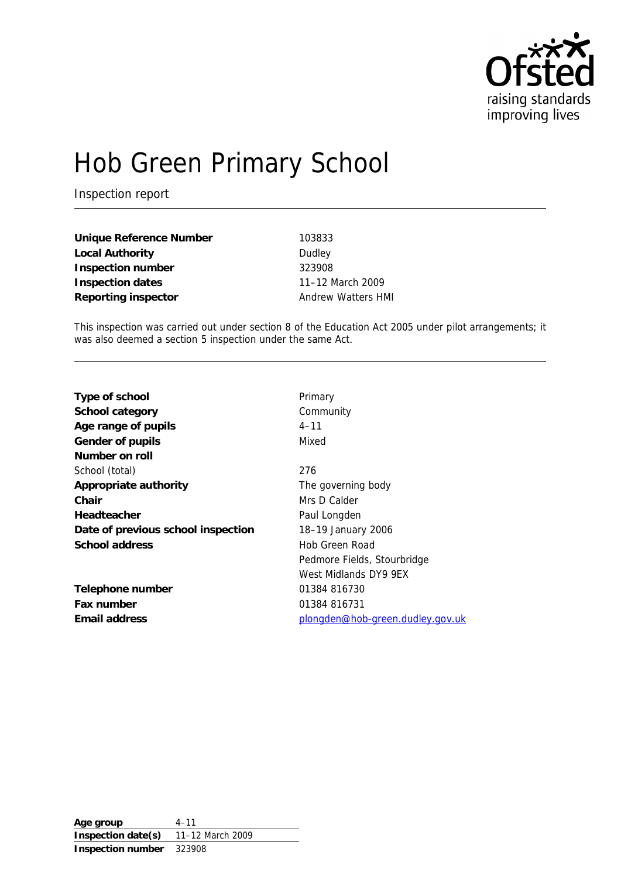

# Hob Green Primary School

Inspection report

| Unique Reference Number |  |
|-------------------------|--|
| Local Authority         |  |
| Inspection number       |  |
| Inspection dates        |  |
| Reporting inspector     |  |

**Unique Reference Number** 103833 **Dudley Inspection number** 323908 **Inspection dates** 11–12 March 2009 **Andrew Watters HMI** 

This inspection was carried out under section 8 of the Education Act 2005 under pilot arrangements; it was also deemed a section 5 inspection under the same Act.

| Type of school                     | Primary                          |
|------------------------------------|----------------------------------|
| School category                    | Community                        |
| Age range of pupils                | $4 - 11$                         |
| Gender of pupils                   | Mixed                            |
| Number on roll                     |                                  |
| School (total)                     | 276                              |
| Appropriate authority              | The governing body               |
| Chair                              | Mrs D Calder                     |
| Headteacher                        | Paul Longden                     |
| Date of previous school inspection | 18-19 January 2006               |
| School address                     | Hob Green Road                   |
|                                    | Pedmore Fields, Stourbridge      |
|                                    | West Midlands DY9 9EX            |
| Telephone number                   | 01384 816730                     |
| Fax number                         | 01384 816731                     |
| Email address                      | plongden@hob-green.dudley.gov.uk |
|                                    |                                  |

**Age group** 4–11 **Inspection date(s)** 11–12 March 2009 **Inspection number** 323908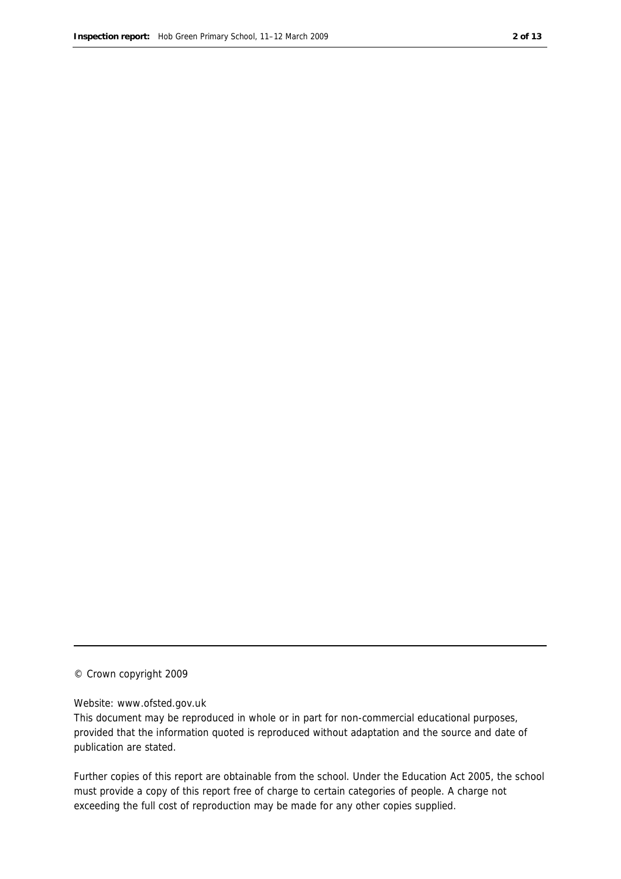#### © Crown copyright 2009

#### Website: www.ofsted.gov.uk

This document may be reproduced in whole or in part for non-commercial educational purposes, provided that the information quoted is reproduced without adaptation and the source and date of publication are stated.

Further copies of this report are obtainable from the school. Under the Education Act 2005, the school must provide a copy of this report free of charge to certain categories of people. A charge not exceeding the full cost of reproduction may be made for any other copies supplied.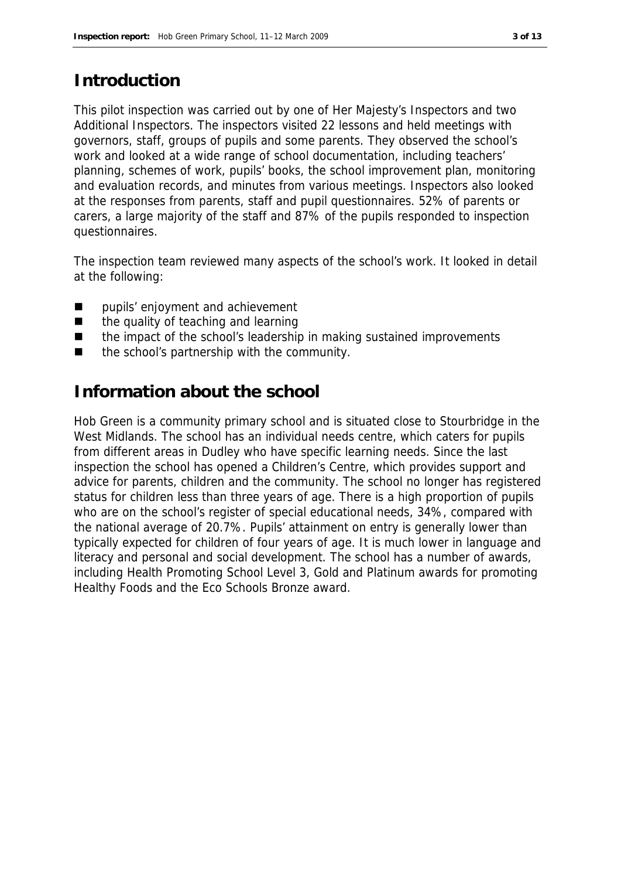#### **Introduction**

This pilot inspection was carried out by one of Her Majesty's Inspectors and two Additional Inspectors. The inspectors visited 22 lessons and held meetings with governors, staff, groups of pupils and some parents. They observed the school's work and looked at a wide range of school documentation, including teachers' planning, schemes of work, pupils' books, the school improvement plan, monitoring and evaluation records, and minutes from various meetings. Inspectors also looked at the responses from parents, staff and pupil questionnaires. 52% of parents or carers, a large majority of the staff and 87% of the pupils responded to inspection questionnaires.

The inspection team reviewed many aspects of the school's work. It looked in detail at the following:

- **pupils' enjoyment and achievement**
- the quality of teaching and learning
- the impact of the school's leadership in making sustained improvements
- $\blacksquare$  the school's partnership with the community.

#### **Information about the school**

Hob Green is a community primary school and is situated close to Stourbridge in the West Midlands. The school has an individual needs centre, which caters for pupils from different areas in Dudley who have specific learning needs. Since the last inspection the school has opened a Children's Centre, which provides support and advice for parents, children and the community. The school no longer has registered status for children less than three years of age. There is a high proportion of pupils who are on the school's register of special educational needs, 34%, compared with the national average of 20.7%. Pupils' attainment on entry is generally lower than typically expected for children of four years of age. It is much lower in language and literacy and personal and social development. The school has a number of awards, including Health Promoting School Level 3, Gold and Platinum awards for promoting Healthy Foods and the Eco Schools Bronze award.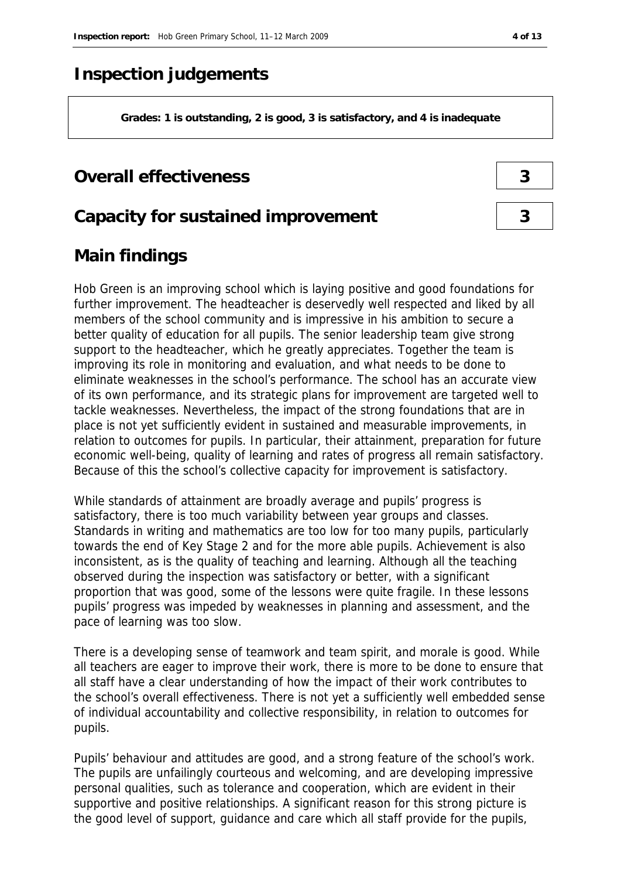## **Inspection judgements**

**Grades: 1 is outstanding, 2 is good, 3 is satisfactory, and 4 is inadequate**

#### **Overall effectiveness 3**

#### **Capacity for sustained improvement 3**

### **Main findings**

Hob Green is an improving school which is laying positive and good foundations for further improvement. The headteacher is deservedly well respected and liked by all members of the school community and is impressive in his ambition to secure a better quality of education for all pupils. The senior leadership team give strong support to the headteacher, which he greatly appreciates. Together the team is improving its role in monitoring and evaluation, and what needs to be done to eliminate weaknesses in the school's performance. The school has an accurate view of its own performance, and its strategic plans for improvement are targeted well to tackle weaknesses. Nevertheless, the impact of the strong foundations that are in place is not yet sufficiently evident in sustained and measurable improvements, in relation to outcomes for pupils. In particular, their attainment, preparation for future economic well-being, quality of learning and rates of progress all remain satisfactory. Because of this the school's collective capacity for improvement is satisfactory.

While standards of attainment are broadly average and pupils' progress is satisfactory, there is too much variability between year groups and classes. Standards in writing and mathematics are too low for too many pupils, particularly towards the end of Key Stage 2 and for the more able pupils. Achievement is also inconsistent, as is the quality of teaching and learning. Although all the teaching observed during the inspection was satisfactory or better, with a significant proportion that was good, some of the lessons were quite fragile. In these lessons pupils' progress was impeded by weaknesses in planning and assessment, and the pace of learning was too slow.

There is a developing sense of teamwork and team spirit, and morale is good. While all teachers are eager to improve their work, there is more to be done to ensure that all staff have a clear understanding of how the impact of their work contributes to the school's overall effectiveness. There is not yet a sufficiently well embedded sense of individual accountability and collective responsibility, in relation to outcomes for pupils.

Pupils' behaviour and attitudes are good, and a strong feature of the school's work. The pupils are unfailingly courteous and welcoming, and are developing impressive personal qualities, such as tolerance and cooperation, which are evident in their supportive and positive relationships. A significant reason for this strong picture is the good level of support, guidance and care which all staff provide for the pupils,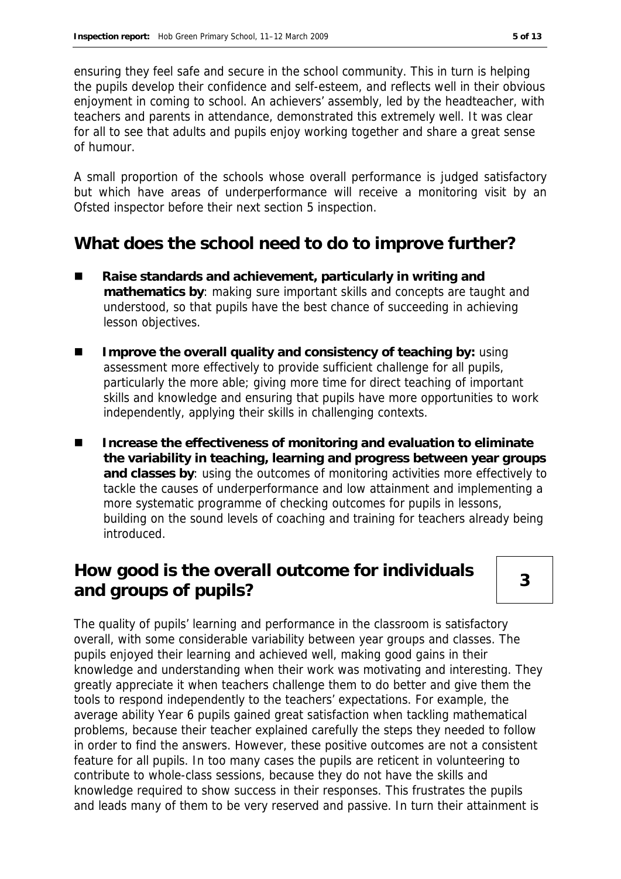ensuring they feel safe and secure in the school community. This in turn is helping the pupils develop their confidence and self-esteem, and reflects well in their obvious enjoyment in coming to school. An achievers' assembly, led by the headteacher, with teachers and parents in attendance, demonstrated this extremely well. It was clear for all to see that adults and pupils enjoy working together and share a great sense of humour.

A small proportion of the schools whose overall performance is judged satisfactory but which have areas of underperformance will receive a monitoring visit by an Ofsted inspector before their next section 5 inspection.

### **What does the school need to do to improve further?**

- **Raise standards and achievement, particularly in writing and mathematics by**: making sure important skills and concepts are taught and understood, so that pupils have the best chance of succeeding in achieving lesson objectives.
- **IMPROVE the overall quality and consistency of teaching by: using** assessment more effectively to provide sufficient challenge for all pupils, particularly the more able; giving more time for direct teaching of important skills and knowledge and ensuring that pupils have more opportunities to work independently, applying their skills in challenging contexts.
- Increase the effectiveness of monitoring and evaluation to eliminate **the variability in teaching, learning and progress between year groups and classes by**: using the outcomes of monitoring activities more effectively to tackle the causes of underperformance and low attainment and implementing a more systematic programme of checking outcomes for pupils in lessons, building on the sound levels of coaching and training for teachers already being introduced.

# **How good is the overall outcome for individuals and groups of pupils? <sup>3</sup>**

The quality of pupils' learning and performance in the classroom is satisfactory overall, with some considerable variability between year groups and classes. The pupils enjoyed their learning and achieved well, making good gains in their knowledge and understanding when their work was motivating and interesting. They greatly appreciate it when teachers challenge them to do better and give them the tools to respond independently to the teachers' expectations. For example, the average ability Year 6 pupils gained great satisfaction when tackling mathematical problems, because their teacher explained carefully the steps they needed to follow in order to find the answers. However, these positive outcomes are not a consistent feature for all pupils. In too many cases the pupils are reticent in volunteering to contribute to whole-class sessions, because they do not have the skills and knowledge required to show success in their responses. This frustrates the pupils and leads many of them to be very reserved and passive. In turn their attainment is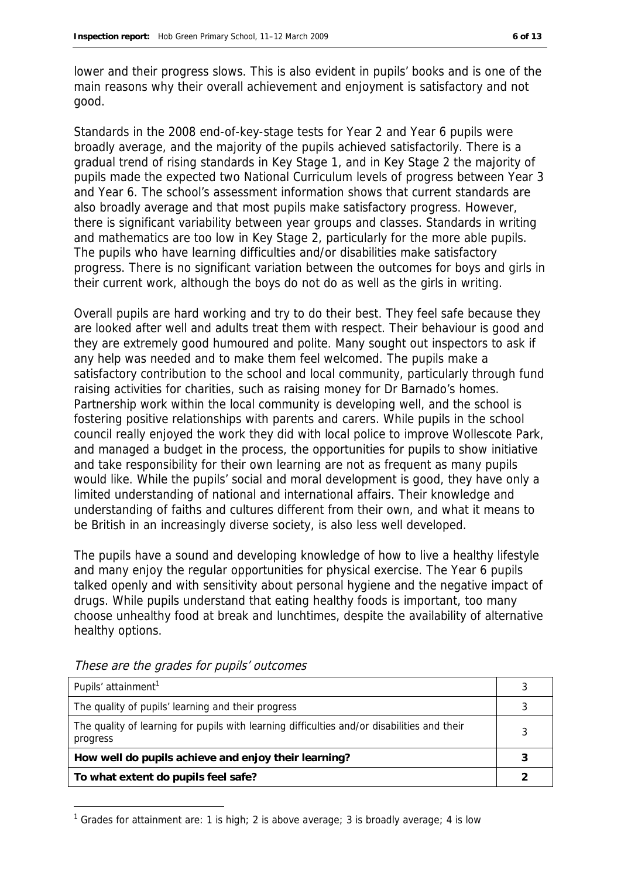lower and their progress slows. This is also evident in pupils' books and is one of the main reasons why their overall achievement and enjoyment is satisfactory and not good.

Standards in the 2008 end-of-key-stage tests for Year 2 and Year 6 pupils were broadly average, and the majority of the pupils achieved satisfactorily. There is a gradual trend of rising standards in Key Stage 1, and in Key Stage 2 the majority of pupils made the expected two National Curriculum levels of progress between Year 3 and Year 6. The school's assessment information shows that current standards are also broadly average and that most pupils make satisfactory progress. However, there is significant variability between year groups and classes. Standards in writing and mathematics are too low in Key Stage 2, particularly for the more able pupils. The pupils who have learning difficulties and/or disabilities make satisfactory progress. There is no significant variation between the outcomes for boys and girls in their current work, although the boys do not do as well as the girls in writing.

Overall pupils are hard working and try to do their best. They feel safe because they are looked after well and adults treat them with respect. Their behaviour is good and they are extremely good humoured and polite. Many sought out inspectors to ask if any help was needed and to make them feel welcomed. The pupils make a satisfactory contribution to the school and local community, particularly through fund raising activities for charities, such as raising money for Dr Barnado's homes. Partnership work within the local community is developing well, and the school is fostering positive relationships with parents and carers. While pupils in the school council really enjoyed the work they did with local police to improve Wollescote Park, and managed a budget in the process, the opportunities for pupils to show initiative and take responsibility for their own learning are not as frequent as many pupils would like. While the pupils' social and moral development is good, they have only a limited understanding of national and international affairs. Their knowledge and understanding of faiths and cultures different from their own, and what it means to be British in an increasingly diverse society, is also less well developed.

The pupils have a sound and developing knowledge of how to live a healthy lifestyle and many enjoy the regular opportunities for physical exercise. The Year 6 pupils talked openly and with sensitivity about personal hygiene and the negative impact of drugs. While pupils understand that eating healthy foods is important, too many choose unhealthy food at break and lunchtimes, despite the availability of alternative healthy options.

| Pupils' attainment <sup>1</sup>                                                                         |  |
|---------------------------------------------------------------------------------------------------------|--|
| The quality of pupils' learning and their progress                                                      |  |
| The quality of learning for pupils with learning difficulties and/or disabilities and their<br>progress |  |
| How well do pupils achieve and enjoy their learning?                                                    |  |
| To what extent do pupils feel safe?                                                                     |  |

These are the grades for pupils' outcomes

-

<sup>&</sup>lt;sup>1</sup> Grades for attainment are: 1 is high; 2 is above average; 3 is broadly average; 4 is low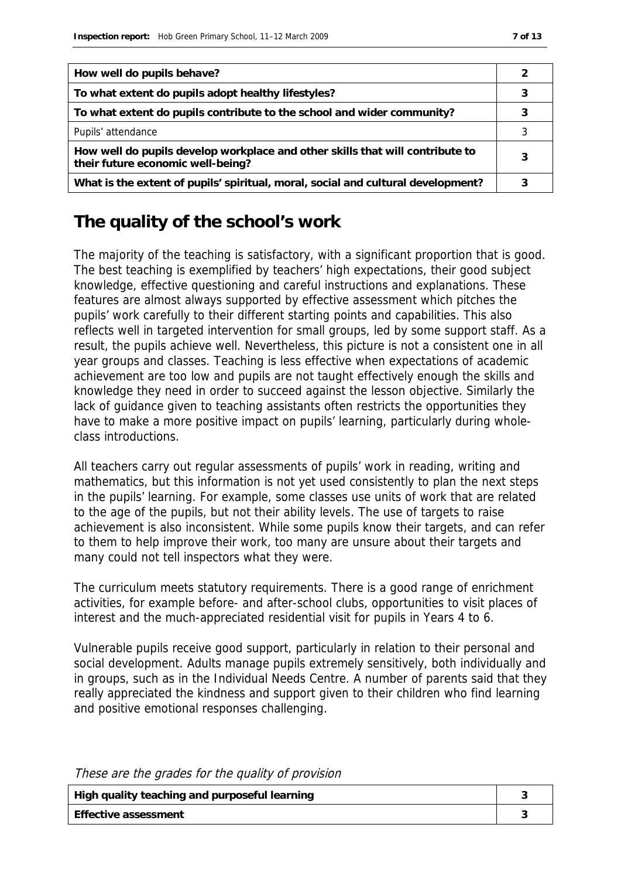| How well do pupils behave?                                                                                         |  |
|--------------------------------------------------------------------------------------------------------------------|--|
| To what extent do pupils adopt healthy lifestyles?                                                                 |  |
| To what extent do pupils contribute to the school and wider community?                                             |  |
| Pupils' attendance                                                                                                 |  |
| How well do pupils develop workplace and other skills that will contribute to<br>their future economic well-being? |  |
| What is the extent of pupils' spiritual, moral, social and cultural development?                                   |  |

## **The quality of the school's work**

The majority of the teaching is satisfactory, with a significant proportion that is good. The best teaching is exemplified by teachers' high expectations, their good subject knowledge, effective questioning and careful instructions and explanations. These features are almost always supported by effective assessment which pitches the pupils' work carefully to their different starting points and capabilities. This also reflects well in targeted intervention for small groups, led by some support staff. As a result, the pupils achieve well. Nevertheless, this picture is not a consistent one in all year groups and classes. Teaching is less effective when expectations of academic achievement are too low and pupils are not taught effectively enough the skills and knowledge they need in order to succeed against the lesson objective. Similarly the lack of guidance given to teaching assistants often restricts the opportunities they have to make a more positive impact on pupils' learning, particularly during wholeclass introductions.

All teachers carry out regular assessments of pupils' work in reading, writing and mathematics, but this information is not yet used consistently to plan the next steps in the pupils' learning. For example, some classes use units of work that are related to the age of the pupils, but not their ability levels. The use of targets to raise achievement is also inconsistent. While some pupils know their targets, and can refer to them to help improve their work, too many are unsure about their targets and many could not tell inspectors what they were.

The curriculum meets statutory requirements. There is a good range of enrichment activities, for example before- and after-school clubs, opportunities to visit places of interest and the much-appreciated residential visit for pupils in Years 4 to 6.

Vulnerable pupils receive good support, particularly in relation to their personal and social development. Adults manage pupils extremely sensitively, both individually and in groups, such as in the Individual Needs Centre. A number of parents said that they really appreciated the kindness and support given to their children who find learning and positive emotional responses challenging.

| High quality teaching and purposeful learning |  |
|-----------------------------------------------|--|
| l Effective assessment                        |  |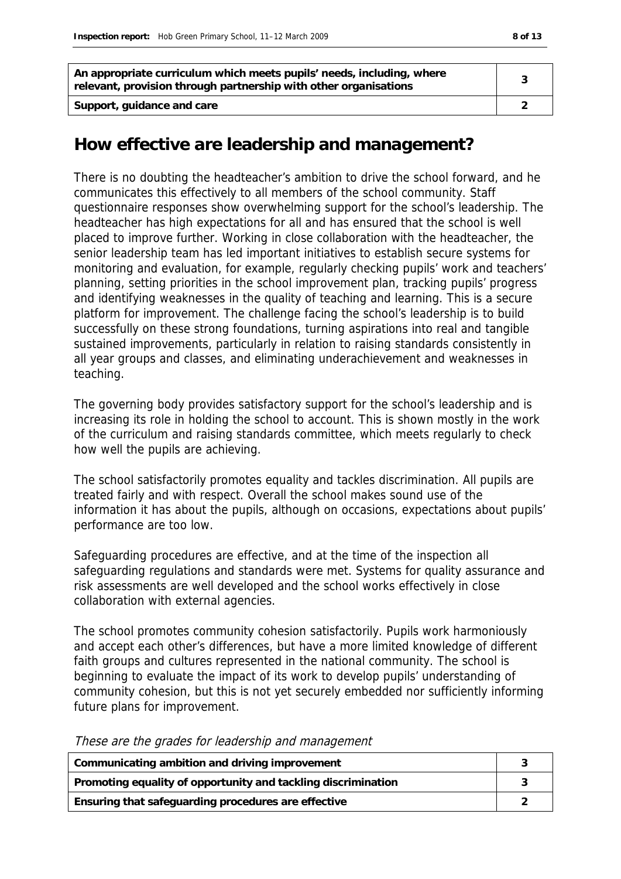| An appropriate curriculum which meets pupils' needs, including, where<br>relevant, provision through partnership with other organisations |  |
|-------------------------------------------------------------------------------------------------------------------------------------------|--|
| Support, guidance and care                                                                                                                |  |

#### **How effective are leadership and management?**

There is no doubting the headteacher's ambition to drive the school forward, and he communicates this effectively to all members of the school community. Staff questionnaire responses show overwhelming support for the school's leadership. The headteacher has high expectations for all and has ensured that the school is well placed to improve further. Working in close collaboration with the headteacher, the senior leadership team has led important initiatives to establish secure systems for monitoring and evaluation, for example, regularly checking pupils' work and teachers' planning, setting priorities in the school improvement plan, tracking pupils' progress and identifying weaknesses in the quality of teaching and learning. This is a secure platform for improvement. The challenge facing the school's leadership is to build successfully on these strong foundations, turning aspirations into real and tangible sustained improvements, particularly in relation to raising standards consistently in all year groups and classes, and eliminating underachievement and weaknesses in teaching.

The governing body provides satisfactory support for the school's leadership and is increasing its role in holding the school to account. This is shown mostly in the work of the curriculum and raising standards committee, which meets regularly to check how well the pupils are achieving.

The school satisfactorily promotes equality and tackles discrimination. All pupils are treated fairly and with respect. Overall the school makes sound use of the information it has about the pupils, although on occasions, expectations about pupils' performance are too low.

Safeguarding procedures are effective, and at the time of the inspection all safeguarding regulations and standards were met. Systems for quality assurance and risk assessments are well developed and the school works effectively in close collaboration with external agencies.

The school promotes community cohesion satisfactorily. Pupils work harmoniously and accept each other's differences, but have a more limited knowledge of different faith groups and cultures represented in the national community. The school is beginning to evaluate the impact of its work to develop pupils' understanding of community cohesion, but this is not yet securely embedded nor sufficiently informing future plans for improvement.

These are the grades for leadership and management

| Communicating ambition and driving improvement                |  |
|---------------------------------------------------------------|--|
| Promoting equality of opportunity and tackling discrimination |  |
| Ensuring that safeguarding procedures are effective           |  |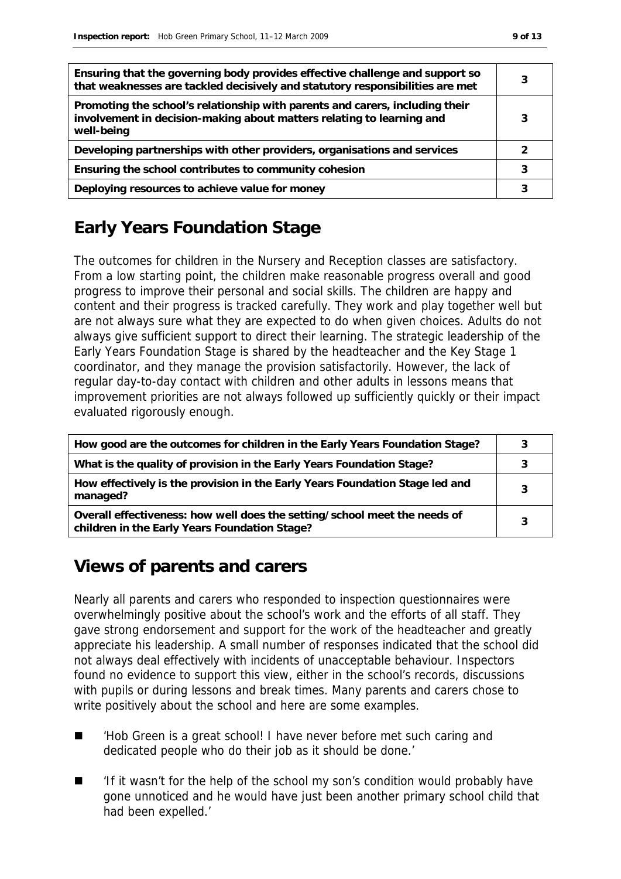| Ensuring that the governing body provides effective challenge and support so<br>that weaknesses are tackled decisively and statutory responsibilities are met       | 3 |
|---------------------------------------------------------------------------------------------------------------------------------------------------------------------|---|
| Promoting the school's relationship with parents and carers, including their<br>involvement in decision-making about matters relating to learning and<br>well-being | 3 |
| Developing partnerships with other providers, organisations and services                                                                                            |   |
| Ensuring the school contributes to community cohesion                                                                                                               |   |
| Deploying resources to achieve value for money                                                                                                                      |   |

# **Early Years Foundation Stage**

The outcomes for children in the Nursery and Reception classes are satisfactory. From a low starting point, the children make reasonable progress overall and good progress to improve their personal and social skills. The children are happy and content and their progress is tracked carefully. They work and play together well but are not always sure what they are expected to do when given choices. Adults do not always give sufficient support to direct their learning. The strategic leadership of the Early Years Foundation Stage is shared by the headteacher and the Key Stage 1 coordinator, and they manage the provision satisfactorily. However, the lack of regular day-to-day contact with children and other adults in lessons means that improvement priorities are not always followed up sufficiently quickly or their impact evaluated rigorously enough.

| How good are the outcomes for children in the Early Years Foundation Stage?                                                | 3 |
|----------------------------------------------------------------------------------------------------------------------------|---|
| What is the quality of provision in the Early Years Foundation Stage?                                                      |   |
| How effectively is the provision in the Early Years Foundation Stage led and<br>managed?                                   | 3 |
| Overall effectiveness: how well does the setting/school meet the needs of<br>children in the Early Years Foundation Stage? | 3 |

#### **Views of parents and carers**

Nearly all parents and carers who responded to inspection questionnaires were overwhelmingly positive about the school's work and the efforts of all staff. They gave strong endorsement and support for the work of the headteacher and greatly appreciate his leadership. A small number of responses indicated that the school did not always deal effectively with incidents of unacceptable behaviour. Inspectors found no evidence to support this view, either in the school's records, discussions with pupils or during lessons and break times. Many parents and carers chose to write positively about the school and here are some examples.

- 'Hob Green is a great school! I have never before met such caring and dedicated people who do their job as it should be done.'
- 'If it wasn't for the help of the school my son's condition would probably have gone unnoticed and he would have just been another primary school child that had been expelled.'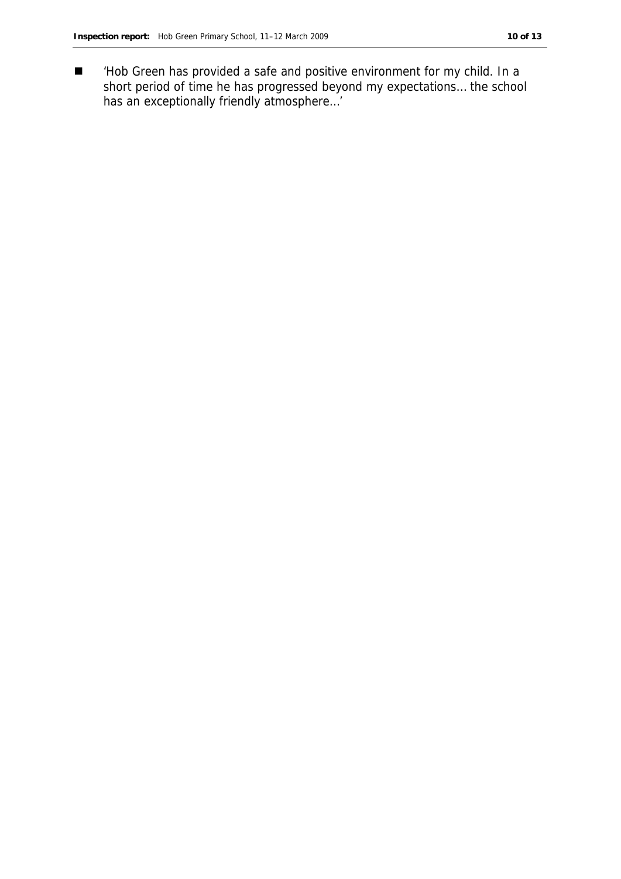■ /Hob Green has provided a safe and positive environment for my child. In a short period of time he has progressed beyond my expectations… the school has an exceptionally friendly atmosphere…'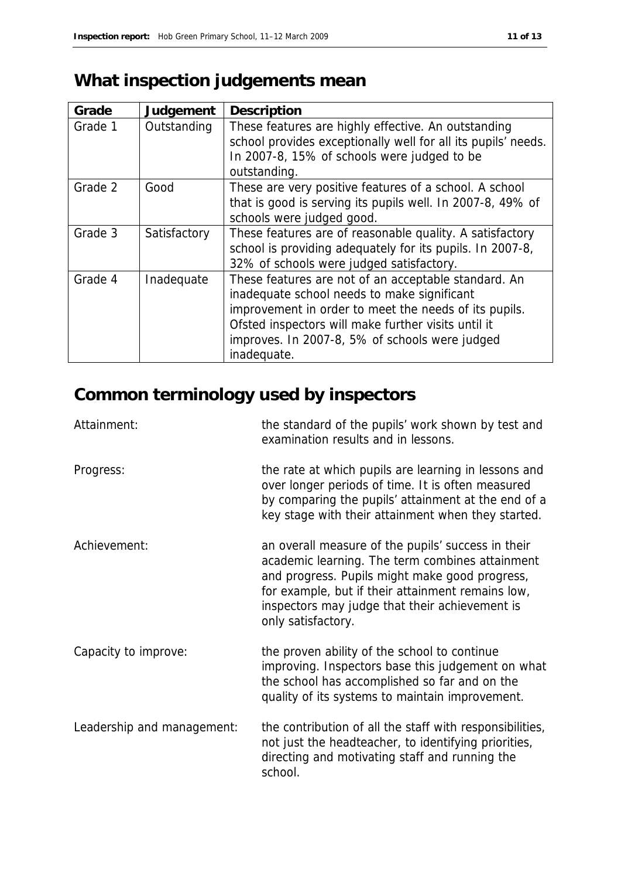# **What inspection judgements mean**

| Grade   | Judgement    | Description                                                                                                                                                                                                                                                                          |
|---------|--------------|--------------------------------------------------------------------------------------------------------------------------------------------------------------------------------------------------------------------------------------------------------------------------------------|
| Grade 1 | Outstanding  | These features are highly effective. An outstanding<br>school provides exceptionally well for all its pupils' needs.<br>In 2007-8, 15% of schools were judged to be<br>outstanding.                                                                                                  |
| Grade 2 | Good         | These are very positive features of a school. A school<br>that is good is serving its pupils well. In 2007-8, 49% of<br>schools were judged good.                                                                                                                                    |
| Grade 3 | Satisfactory | These features are of reasonable quality. A satisfactory<br>school is providing adequately for its pupils. In 2007-8,<br>32% of schools were judged satisfactory.                                                                                                                    |
| Grade 4 | Inadequate   | These features are not of an acceptable standard. An<br>inadequate school needs to make significant<br>improvement in order to meet the needs of its pupils.<br>Ofsted inspectors will make further visits until it<br>improves. In 2007-8, 5% of schools were judged<br>inadequate. |

# **Common terminology used by inspectors**

| Attainment:                | the standard of the pupils' work shown by test and<br>examination results and in lessons.                                                                                                                                                                                            |
|----------------------------|--------------------------------------------------------------------------------------------------------------------------------------------------------------------------------------------------------------------------------------------------------------------------------------|
| Progress:                  | the rate at which pupils are learning in lessons and<br>over longer periods of time. It is often measured<br>by comparing the pupils' attainment at the end of a<br>key stage with their attainment when they started.                                                               |
| Achievement:               | an overall measure of the pupils' success in their<br>academic learning. The term combines attainment<br>and progress. Pupils might make good progress,<br>for example, but if their attainment remains low,<br>inspectors may judge that their achievement is<br>only satisfactory. |
| Capacity to improve:       | the proven ability of the school to continue<br>improving. Inspectors base this judgement on what<br>the school has accomplished so far and on the<br>quality of its systems to maintain improvement.                                                                                |
| Leadership and management: | the contribution of all the staff with responsibilities,<br>not just the headteacher, to identifying priorities,<br>directing and motivating staff and running the<br>school.                                                                                                        |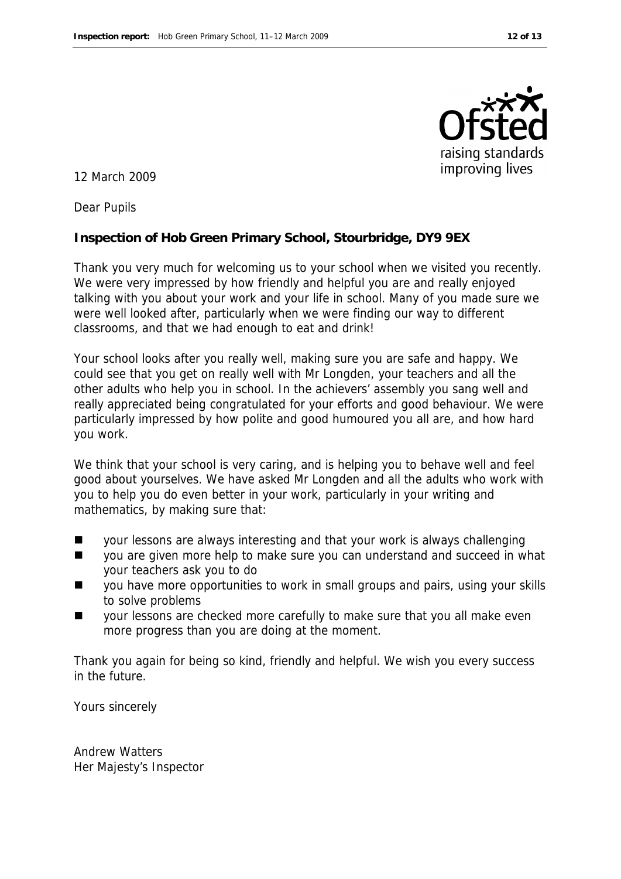

12 March 2009

Dear Pupils

**Inspection of Hob Green Primary School, Stourbridge, DY9 9EX**

Thank you very much for welcoming us to your school when we visited you recently. We were very impressed by how friendly and helpful you are and really enjoyed talking with you about your work and your life in school. Many of you made sure we were well looked after, particularly when we were finding our way to different classrooms, and that we had enough to eat and drink!

Your school looks after you really well, making sure you are safe and happy. We could see that you get on really well with Mr Longden, your teachers and all the other adults who help you in school. In the achievers' assembly you sang well and really appreciated being congratulated for your efforts and good behaviour. We were particularly impressed by how polite and good humoured you all are, and how hard you work.

We think that your school is very caring, and is helping you to behave well and feel good about yourselves. We have asked Mr Longden and all the adults who work with you to help you do even better in your work, particularly in your writing and mathematics, by making sure that:

- **Now your lessons are always interesting and that your work is always challenging**
- you are given more help to make sure you can understand and succeed in what your teachers ask you to do
- you have more opportunities to work in small groups and pairs, using your skills to solve problems
- your lessons are checked more carefully to make sure that you all make even more progress than you are doing at the moment.

Thank you again for being so kind, friendly and helpful. We wish you every success in the future.

Yours sincerely

Andrew Watters Her Majesty's Inspector